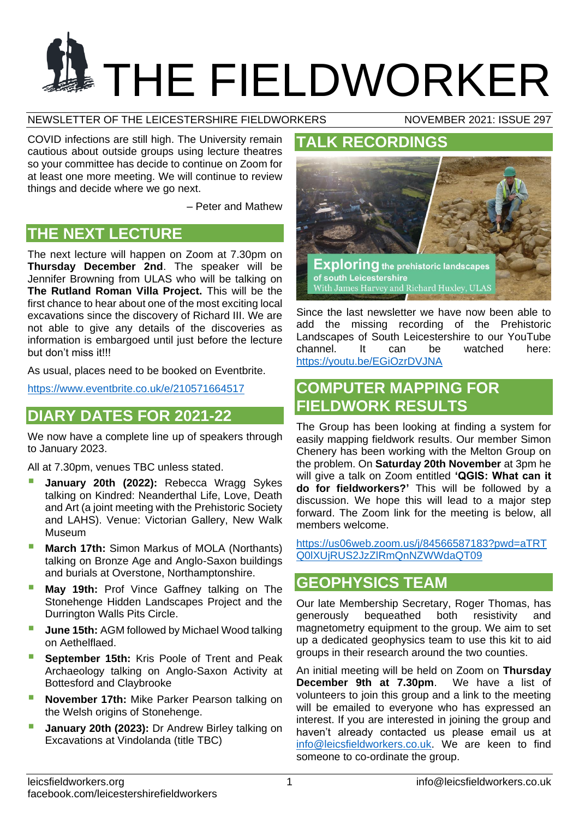# **THE FIELDWORKER**

NEWSLETTER OF THE LEICESTERSHIRE FIELDWORKERS NOVEMBER 2021: ISSUE 297

COVID infections are still high. The University remain cautious about outside groups using lecture theatres so your committee has decide to continue on Zoom for at least one more meeting. We will continue to review things and decide where we go next.

– Peter and Mathew

# **THE NEXT LECTURE**

The next lecture will happen on Zoom at 7.30pm on **Thursday December 2nd**. The speaker will be Jennifer Browning from ULAS who will be talking on **The Rutland Roman Villa Project.** This will be the first chance to hear about one of the most exciting local excavations since the discovery of Richard III. We are not able to give any details of the discoveries as information is embargoed until just before the lecture but don't miss it!!!

As usual, places need to be booked on Eventbrite.

<https://www.eventbrite.co.uk/e/210571664517>

# **DIARY DATES FOR 2021-22**

We now have a complete line up of speakers through to January 2023.

All at 7.30pm, venues TBC unless stated.

- **January 20th (2022):** Rebecca Wragg Sykes talking on Kindred: Neanderthal Life, Love, Death and Art (a joint meeting with the Prehistoric Society and LAHS). Venue: Victorian Gallery, New Walk Museum
- **March 17th:** Simon Markus of MOLA (Northants) talking on Bronze Age and Anglo-Saxon buildings and burials at Overstone, Northamptonshire.
- **May 19th: Prof Vince Gaffney talking on The** Stonehenge Hidden Landscapes Project and the Durrington Walls Pits Circle.
- **June 15th: AGM followed by Michael Wood talking** on Aethelflaed.
- **September 15th:** Kris Poole of Trent and Peak Archaeology talking on Anglo-Saxon Activity at Bottesford and Claybrooke
- **November 17th:** Mike Parker Pearson talking on the Welsh origins of Stonehenge.
- **January 20th (2023):** Dr Andrew Birley talking on Excavations at Vindolanda (title TBC)

# **TALK RECORDINGS**



Since the last newsletter we have now been able to add the missing recording of the Prehistoric Landscapes of South Leicestershire to our YouTube channel. It can be watched here: <https://youtu.be/EGiOzrDVJNA>

# **COMPUTER MAPPING FOR FIELDWORK RESULTS**

The Group has been looking at finding a system for easily mapping fieldwork results. Our member Simon Chenery has been working with the Melton Group on the problem. On **Saturday 20th November** at 3pm he will give a talk on Zoom entitled **'QGIS: What can it do for fieldworkers?'** This will be followed by a discussion. We hope this will lead to a major step forward. The Zoom link for the meeting is below, all members welcome.

[https://us06web.zoom.us/j/84566587183?pwd=aTRT](https://us06web.zoom.us/j/84566587183?pwd=aTRTQ0lXUjRUS2JzZlRmQnNZWWdaQT09) [Q0lXUjRUS2JzZlRmQnNZWWdaQT09](https://us06web.zoom.us/j/84566587183?pwd=aTRTQ0lXUjRUS2JzZlRmQnNZWWdaQT09)

# **GEOPHYSICS TEAM**

Our late Membership Secretary, Roger Thomas, has generously bequeathed both resistivity and magnetometry equipment to the group. We aim to set up a dedicated geophysics team to use this kit to aid groups in their research around the two counties.

An initial meeting will be held on Zoom on **Thursday December 9th at 7.30pm**. We have a list of volunteers to join this group and a link to the meeting will be emailed to everyone who has expressed an interest. If you are interested in joining the group and haven't already contacted us please email us at [info@leicsfieldworkers.co.uk.](mailto:info@leicsfieldworkers.co.uk) We are keen to find someone to co-ordinate the group.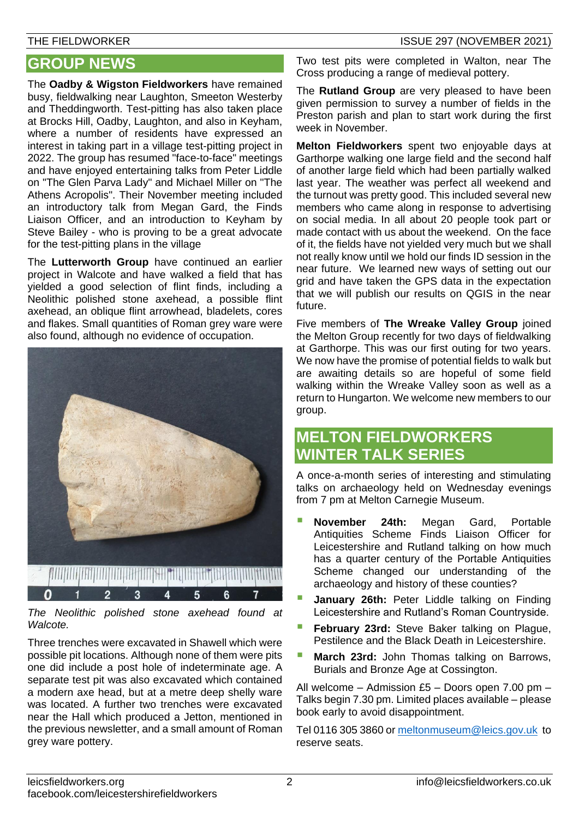# **GROUP NEWS**

The **Oadby & Wigston Fieldworkers** have remained busy, fieldwalking near Laughton, Smeeton Westerby and Theddingworth. Test-pitting has also taken place at Brocks Hill, Oadby, Laughton, and also in Keyham, where a number of residents have expressed an interest in taking part in a village test-pitting project in 2022. The group has resumed "face-to-face" meetings and have enjoyed entertaining talks from Peter Liddle on "The Glen Parva Lady" and Michael Miller on "The Athens Acropolis". Their November meeting included an introductory talk from Megan Gard, the Finds Liaison Officer, and an introduction to Keyham by Steve Bailey - who is proving to be a great advocate for the test-pitting plans in the village

The **Lutterworth Group** have continued an earlier project in Walcote and have walked a field that has yielded a good selection of flint finds, including a Neolithic polished stone axehead, a possible flint axehead, an oblique flint arrowhead, bladelets, cores and flakes. Small quantities of Roman grey ware were also found, although no evidence of occupation.



*The Neolithic polished stone axehead found at Walcote.*

Three trenches were excavated in Shawell which were possible pit locations. Although none of them were pits one did include a post hole of indeterminate age. A separate test pit was also excavated which contained a modern axe head, but at a metre deep shelly ware was located. A further two trenches were excavated near the Hall which produced a Jetton, mentioned in the previous newsletter, and a small amount of Roman grey ware pottery.

Two test pits were completed in Walton, near The Cross producing a range of medieval pottery.

The **Rutland Group** are very pleased to have been given permission to survey a number of fields in the Preston parish and plan to start work during the first week in November.

**Melton Fieldworkers** spent two enjoyable days at Garthorpe walking one large field and the second half of another large field which had been partially walked last year. The weather was perfect all weekend and the turnout was pretty good. This included several new members who came along in response to advertising on social media. In all about 20 people took part or made contact with us about the weekend. On the face of it, the fields have not yielded very much but we shall not really know until we hold our finds ID session in the near future. We learned new ways of setting out our grid and have taken the GPS data in the expectation that we will publish our results on QGIS in the near future.

Five members of **The Wreake Valley Group** joined the Melton Group recently for two days of fieldwalking at Garthorpe. This was our first outing for two years. We now have the promise of potential fields to walk but are awaiting details so are hopeful of some field walking within the Wreake Valley soon as well as a return to Hungarton. We welcome new members to our group.

# **MELTON FIELDWORKERS WINTER TALK SERIES**

A once-a-month series of interesting and stimulating talks on archaeology held on Wednesday evenings from 7 pm at Melton Carnegie Museum.

- **November 24th:** Megan Gard, Portable Antiquities Scheme Finds Liaison Officer for Leicestershire and Rutland talking on how much has a quarter century of the Portable Antiquities Scheme changed our understanding of the archaeology and history of these counties?
- **January 26th: Peter Liddle talking on Finding** Leicestershire and Rutland's Roman Countryside.
- **February 23rd:** Steve Baker talking on Plague, Pestilence and the Black Death in Leicestershire.
- **March 23rd:** John Thomas talking on Barrows, Burials and Bronze Age at Cossington.

All welcome – Admission £5 – Doors open 7.00 pm – Talks begin 7.30 pm. Limited places available – please book early to avoid disappointment.

Tel 0116 305 3860 or [meltonmuseum@leics.gov.uk](mailto:meltonmuseum@leics.gov.uk) to reserve seats.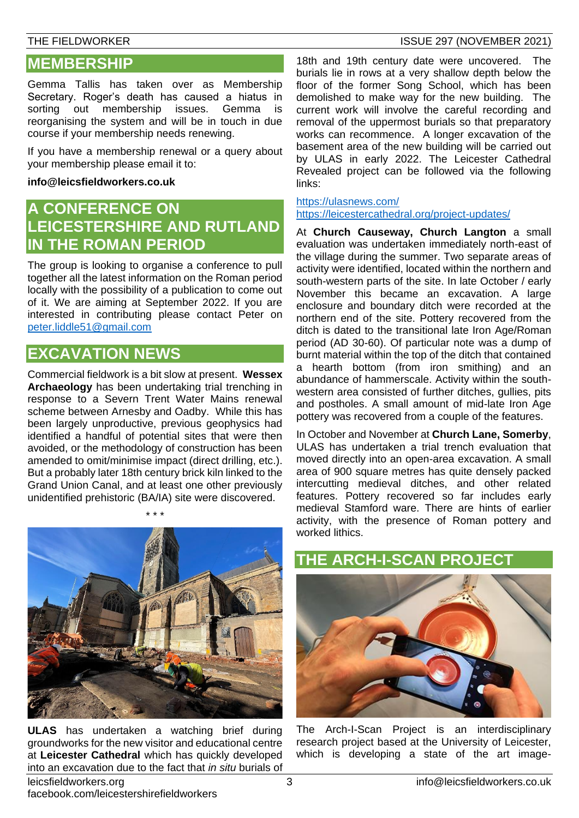#### THE FIELDWORKER ISSUE 297 (NOVEMBER 2021)

## **MEMBERSHIP**

Gemma Tallis has taken over as Membership Secretary. Roger's death has caused a hiatus in sorting out membership issues. Gemma is reorganising the system and will be in touch in due course if your membership needs renewing.

If you have a membership renewal or a query about your membership please email it to:

#### **[info@leicsfieldworkers.co.uk](mailto:info@leicsfieldworkers.co.uk)**

# **A CONFERENCE ON LEICESTERSHIRE AND RUTLAND IN THE ROMAN PERIOD**

The group is looking to organise a conference to pull together all the latest information on the Roman period locally with the possibility of a publication to come out of it. We are aiming at September 2022. If you are interested in contributing please contact Peter on [peter.liddle51@gmail.com](mailto:peter.liddle51@gmail.com)

# **EXCAVATION NEWS**

Commercial fieldwork is a bit slow at present. **Wessex Archaeology** has been undertaking trial trenching in response to a Severn Trent Water Mains renewal scheme between Arnesby and Oadby. While this has been largely unproductive, previous geophysics had identified a handful of potential sites that were then avoided, or the methodology of construction has been amended to omit/minimise impact (direct drilling, etc.). But a probably later 18th century brick kiln linked to the Grand Union Canal, and at least one other previously unidentified prehistoric (BA/IA) site were discovered.

\* \* \*

18th and 19th century date were uncovered. The burials lie in rows at a very shallow depth below the floor of the former Song School, which has been demolished to make way for the new building. The current work will involve the careful recording and removal of the uppermost burials so that preparatory works can recommence. A longer excavation of the basement area of the new building will be carried out by ULAS in early 2022. The Leicester Cathedral Revealed project can be followed via the following links:

<https://ulasnews.com/> <https://leicestercathedral.org/project-updates/>

At **Church Causeway, Church Langton** a small evaluation was undertaken immediately north-east of the village during the summer. Two separate areas of activity were identified, located within the northern and south-western parts of the site. In late October / early November this became an excavation. A large enclosure and boundary ditch were recorded at the northern end of the site. Pottery recovered from the ditch is dated to the transitional late Iron Age/Roman period (AD 30-60). Of particular note was a dump of burnt material within the top of the ditch that contained a hearth bottom (from iron smithing) and an abundance of hammerscale. Activity within the southwestern area consisted of further ditches, gullies, pits and postholes. A small amount of mid-late Iron Age pottery was recovered from a couple of the features.

In October and November at **Church Lane, Somerby**, ULAS has undertaken a trial trench evaluation that moved directly into an open-area excavation. A small area of 900 square metres has quite densely packed intercutting medieval ditches, and other related features. Pottery recovered so far includes early medieval Stamford ware. There are hints of earlier activity, with the presence of Roman pottery and worked lithics.



**ULAS** has undertaken a watching brief during groundworks for the new visitor and educational centre at **Leicester Cathedral** which has quickly developed into an excavation due to the fact that *in situ* burials of



The Arch-I-Scan Project is an interdisciplinary research project based at the University of Leicester, which is developing a state of the art image-